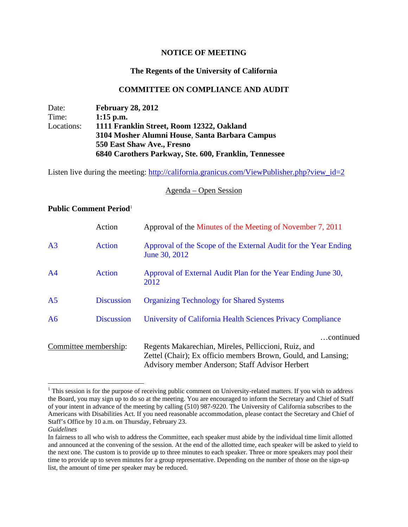## **NOTICE OF MEETING**

# **The Regents of the University of California**

## **COMMITTEE ON COMPLIANCE AND AUDIT**

Date: **February 28, 2012** Time: **1:15 p.m.**  Locations: **1111 Franklin Street, Room 12322, Oakland 3104 Mosher Alumni House**, **Santa Barbara Campus 550 East Shaw Ave., Fresno 6840 Carothers Parkway, Ste. 600, Franklin, Tennessee** 

Listen live during the meeting: http://california.granicus.com/ViewPublisher.php?view\_id=2

#### Agenda – Open Session

## **Public Comment Period**<sup>1</sup>

|                       | Action            | Approval of the Minutes of the Meeting of November 7, 2011                                                                                                                            |
|-----------------------|-------------------|---------------------------------------------------------------------------------------------------------------------------------------------------------------------------------------|
| A <sub>3</sub>        | <b>Action</b>     | Approval of the Scope of the External Audit for the Year Ending<br>June 30, 2012                                                                                                      |
| A <sup>4</sup>        | <b>Action</b>     | Approval of External Audit Plan for the Year Ending June 30,<br>2012                                                                                                                  |
| A <sub>5</sub>        | <b>Discussion</b> | <b>Organizing Technology for Shared Systems</b>                                                                                                                                       |
| A6                    | <b>Discussion</b> | University of California Health Sciences Privacy Compliance                                                                                                                           |
| Committee membership: |                   | continued<br>Regents Makarechian, Mireles, Pelliccioni, Ruiz, and<br>Zettel (Chair); Ex officio members Brown, Gould, and Lansing;<br>Advisory member Anderson; Staff Advisor Herbert |

 $\overline{a}$ 

 $1$  This session is for the purpose of receiving public comment on University-related matters. If you wish to address the Board, you may sign up to do so at the meeting. You are encouraged to inform the Secretary and Chief of Staff of your intent in advance of the meeting by calling (510) 987-9220. The University of California subscribes to the Americans with Disabilities Act. If you need reasonable accommodation, please contact the Secretary and Chief of Staff's Office by 10 a.m. on Thursday, February 23.

*Guidelines*

In fairness to all who wish to address the Committee, each speaker must abide by the individual time limit allotted and announced at the convening of the session. At the end of the allotted time, each speaker will be asked to yield to the next one. The custom is to provide up to three minutes to each speaker. Three or more speakers may pool their time to provide up to seven minutes for a group representative. Depending on the number of those on the sign-up list, the amount of time per speaker may be reduced.